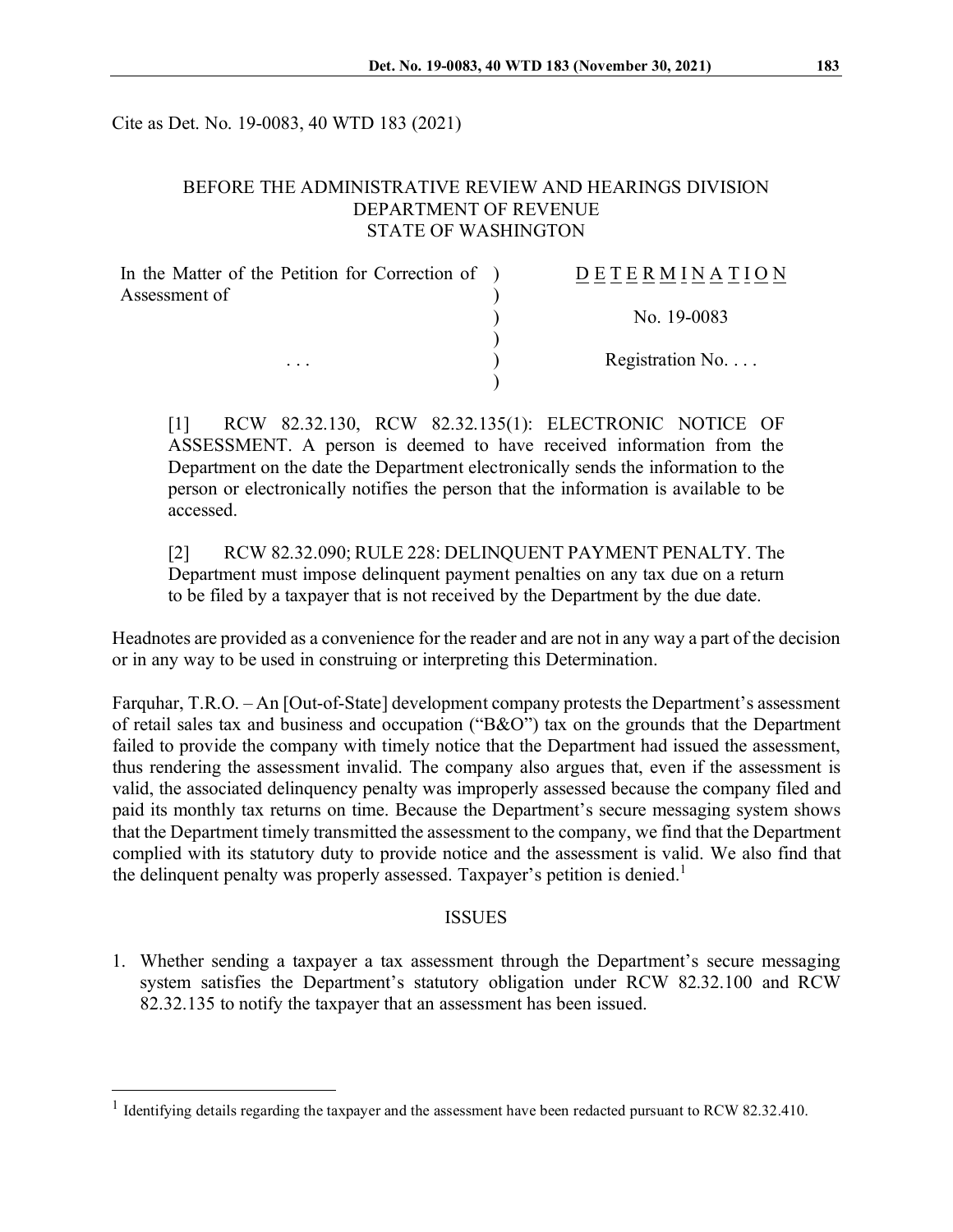Cite as Det. No. 19-0083, 40 WTD 183 (2021)

## BEFORE THE ADMINISTRATIVE REVIEW AND HEARINGS DIVISION DEPARTMENT OF REVENUE STATE OF WASHINGTON

| In the Matter of the Petition for Correction of ) | DETERMINATION            |
|---------------------------------------------------|--------------------------|
| Assessment of                                     |                          |
|                                                   | No. 19-0083              |
|                                                   | Registration No. $\dots$ |
| $\cdots$                                          |                          |
|                                                   |                          |

[1] RCW 82.32.130, RCW 82.32.135(1): ELECTRONIC NOTICE OF ASSESSMENT. A person is deemed to have received information from the Department on the date the Department electronically sends the information to the person or electronically notifies the person that the information is available to be accessed.

[2] RCW 82.32.090; RULE 228: DELINQUENT PAYMENT PENALTY. The Department must impose delinquent payment penalties on any tax due on a return to be filed by a taxpayer that is not received by the Department by the due date.

Headnotes are provided as a convenience for the reader and are not in any way a part of the decision or in any way to be used in construing or interpreting this Determination.

Farquhar, T.R.O. – An [Out-of-State] development company protests the Department's assessment of retail sales tax and business and occupation ("B&O") tax on the grounds that the Department failed to provide the company with timely notice that the Department had issued the assessment, thus rendering the assessment invalid. The company also argues that, even if the assessment is valid, the associated delinquency penalty was improperly assessed because the company filed and paid its monthly tax returns on time. Because the Department's secure messaging system shows that the Department timely transmitted the assessment to the company, we find that the Department complied with its statutory duty to provide notice and the assessment is valid. We also find that the delinquent penalty was properly assessed. Taxpayer's petition is denied.<sup>[1](#page-0-0)</sup>

#### ISSUES

1. Whether sending a taxpayer a tax assessment through the Department's secure messaging system satisfies the Department's statutory obligation under RCW 82.32.100 and RCW 82.32.135 to notify the taxpayer that an assessment has been issued.

<span id="page-0-0"></span><sup>&</sup>lt;sup>1</sup> Identifying details regarding the taxpayer and the assessment have been redacted pursuant to RCW 82.32.410.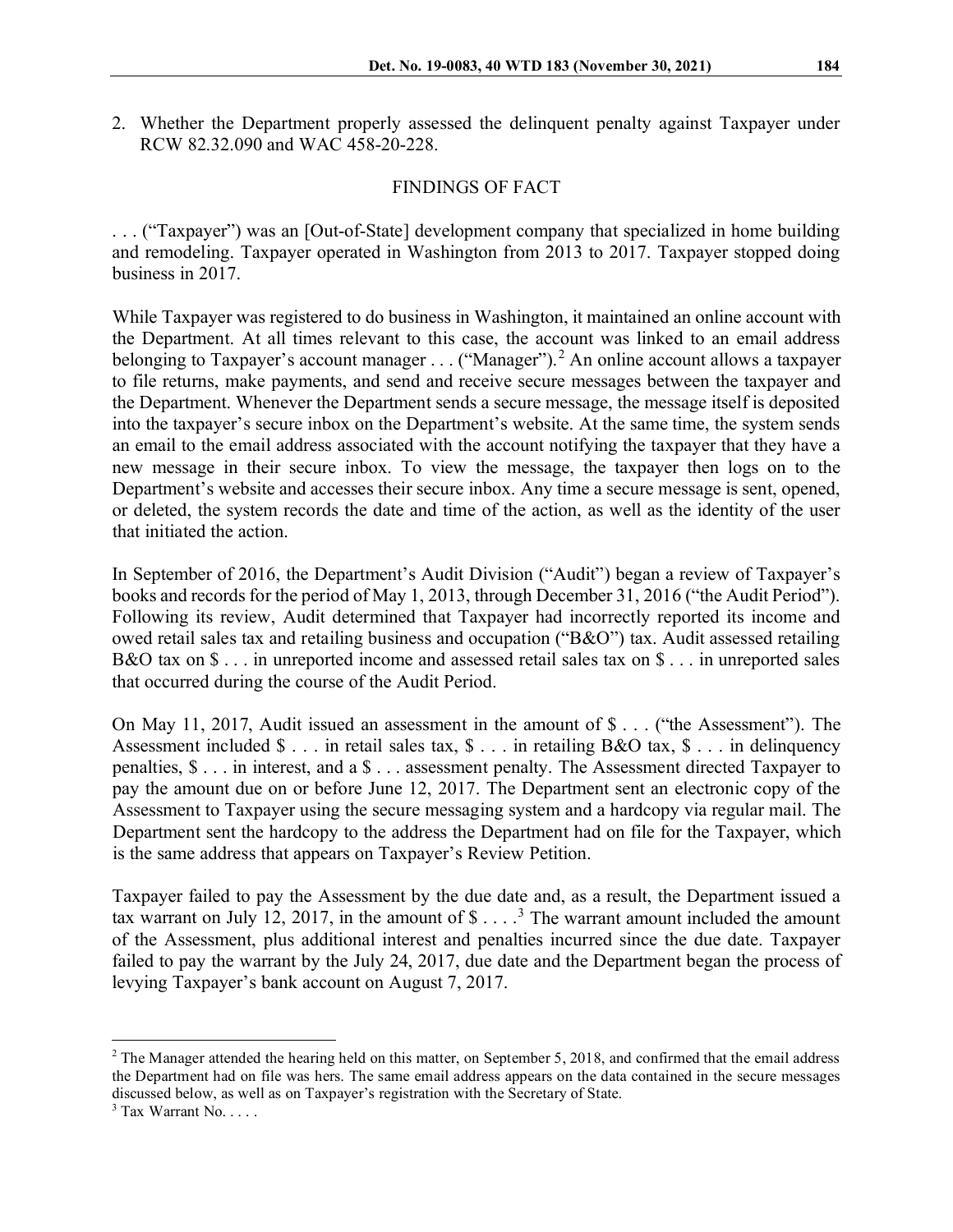2. Whether the Department properly assessed the delinquent penalty against Taxpayer under RCW 82.32.090 and WAC 458-20-228.

## FINDINGS OF FACT

. . . ("Taxpayer") was an [Out-of-State] development company that specialized in home building and remodeling. Taxpayer operated in Washington from 2013 to 2017. Taxpayer stopped doing business in 2017.

While Taxpayer was registered to do business in Washington, it maintained an online account with the Department. At all times relevant to this case, the account was linked to an email address belonging to Taxpayer's account manager  $\dots$  ("Manager").<sup>[2](#page-1-0)</sup> An online account allows a taxpayer to file returns, make payments, and send and receive secure messages between the taxpayer and the Department. Whenever the Department sends a secure message, the message itself is deposited into the taxpayer's secure inbox on the Department's website. At the same time, the system sends an email to the email address associated with the account notifying the taxpayer that they have a new message in their secure inbox. To view the message, the taxpayer then logs on to the Department's website and accesses their secure inbox. Any time a secure message is sent, opened, or deleted, the system records the date and time of the action, as well as the identity of the user that initiated the action.

In September of 2016, the Department's Audit Division ("Audit") began a review of Taxpayer's books and records for the period of May 1, 2013, through December 31, 2016 ("the Audit Period"). Following its review, Audit determined that Taxpayer had incorrectly reported its income and owed retail sales tax and retailing business and occupation ("B&O") tax. Audit assessed retailing B&O tax on \$ . . . in unreported income and assessed retail sales tax on \$ . . . in unreported sales that occurred during the course of the Audit Period.

On May 11, 2017, Audit issued an assessment in the amount of \$ . . . ("the Assessment"). The Assessment included \$ . . . in retail sales tax, \$ . . . in retailing B&O tax, \$ . . . in delinquency penalties, \$ . . . in interest, and a \$ . . . assessment penalty. The Assessment directed Taxpayer to pay the amount due on or before June 12, 2017. The Department sent an electronic copy of the Assessment to Taxpayer using the secure messaging system and a hardcopy via regular mail. The Department sent the hardcopy to the address the Department had on file for the Taxpayer, which is the same address that appears on Taxpayer's Review Petition.

Taxpayer failed to pay the Assessment by the due date and, as a result, the Department issued a tax warrant on July 12, 2017, in the amount of  $\$\ldots$   $^{3}$  $^{3}$  $^{3}$  The warrant amount included the amount of the Assessment, plus additional interest and penalties incurred since the due date. Taxpayer failed to pay the warrant by the July 24, 2017, due date and the Department began the process of levying Taxpayer's bank account on August 7, 2017.

<span id="page-1-0"></span> $2$  The Manager attended the hearing held on this matter, on September 5, 2018, and confirmed that the email address the Department had on file was hers. The same email address appears on the data contained in the secure messages discussed below, as well as on Taxpayer's registration with the Secretary of State.

<span id="page-1-1"></span> $3$  Tax Warrant No.  $\dots$ .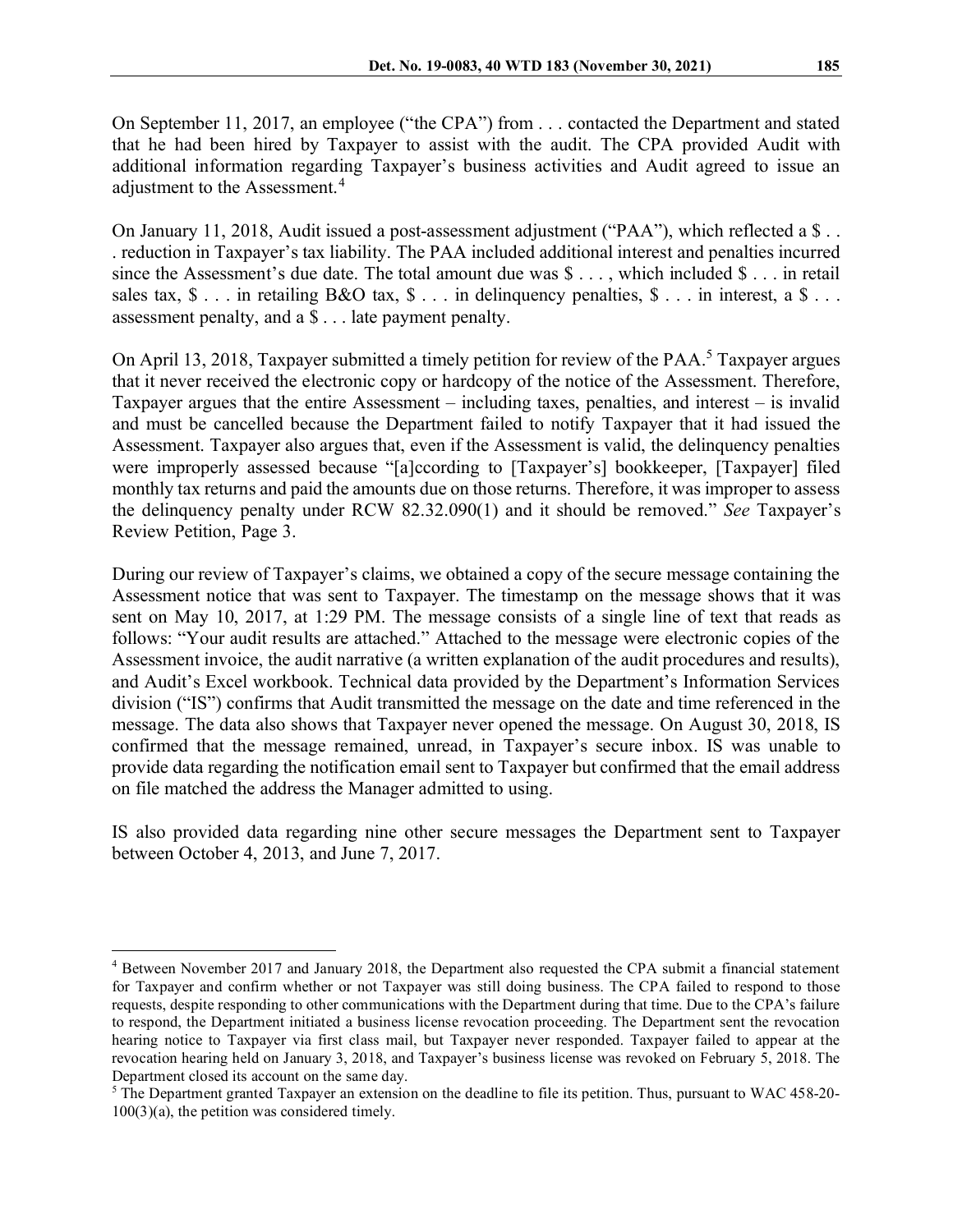On September 11, 2017, an employee ("the CPA") from . . . contacted the Department and stated that he had been hired by Taxpayer to assist with the audit. The CPA provided Audit with additional information regarding Taxpayer's business activities and Audit agreed to issue an adjustment to the Assessment.<sup>[4](#page-2-0)</sup>

On January 11, 2018, Audit issued a post-assessment adjustment ("PAA"), which reflected a \$... . reduction in Taxpayer's tax liability. The PAA included additional interest and penalties incurred since the Assessment's due date. The total amount due was  $\hat{\mathbf{S}} \dots$ , which included  $\hat{\mathbf{S}} \dots$  in retail sales tax,  $\$\dots$  in retailing B&O tax,  $\$\dots$  in delinguency penalties,  $\$\dots$  in interest, a  $\$\dots$ assessment penalty, and a \$ . . . late payment penalty.

On April 13, 2018, Taxpayer submitted a timely petition for review of the PAA.<sup>[5](#page-2-1)</sup> Taxpayer argues that it never received the electronic copy or hardcopy of the notice of the Assessment. Therefore, Taxpayer argues that the entire Assessment – including taxes, penalties, and interest – is invalid and must be cancelled because the Department failed to notify Taxpayer that it had issued the Assessment. Taxpayer also argues that, even if the Assessment is valid, the delinquency penalties were improperly assessed because "[a]ccording to [Taxpayer's] bookkeeper, [Taxpayer] filed monthly tax returns and paid the amounts due on those returns. Therefore, it was improper to assess the delinquency penalty under RCW 82.32.090(1) and it should be removed." *See* Taxpayer's Review Petition, Page 3.

During our review of Taxpayer's claims, we obtained a copy of the secure message containing the Assessment notice that was sent to Taxpayer. The timestamp on the message shows that it was sent on May 10, 2017, at 1:29 PM. The message consists of a single line of text that reads as follows: "Your audit results are attached." Attached to the message were electronic copies of the Assessment invoice, the audit narrative (a written explanation of the audit procedures and results), and Audit's Excel workbook. Technical data provided by the Department's Information Services division ("IS") confirms that Audit transmitted the message on the date and time referenced in the message. The data also shows that Taxpayer never opened the message. On August 30, 2018, IS confirmed that the message remained, unread, in Taxpayer's secure inbox. IS was unable to provide data regarding the notification email sent to Taxpayer but confirmed that the email address on file matched the address the Manager admitted to using.

IS also provided data regarding nine other secure messages the Department sent to Taxpayer between October 4, 2013, and June 7, 2017.

<span id="page-2-0"></span><sup>4</sup> Between November 2017 and January 2018, the Department also requested the CPA submit a financial statement for Taxpayer and confirm whether or not Taxpayer was still doing business. The CPA failed to respond to those requests, despite responding to other communications with the Department during that time. Due to the CPA's failure to respond, the Department initiated a business license revocation proceeding. The Department sent the revocation hearing notice to Taxpayer via first class mail, but Taxpayer never responded. Taxpayer failed to appear at the revocation hearing held on January 3, 2018, and Taxpayer's business license was revoked on February 5, 2018. The Department closed its account on the same day.

<span id="page-2-1"></span> $5$  The Department granted Taxpayer an extension on the deadline to file its petition. Thus, pursuant to WAC 458-20-100(3)(a), the petition was considered timely.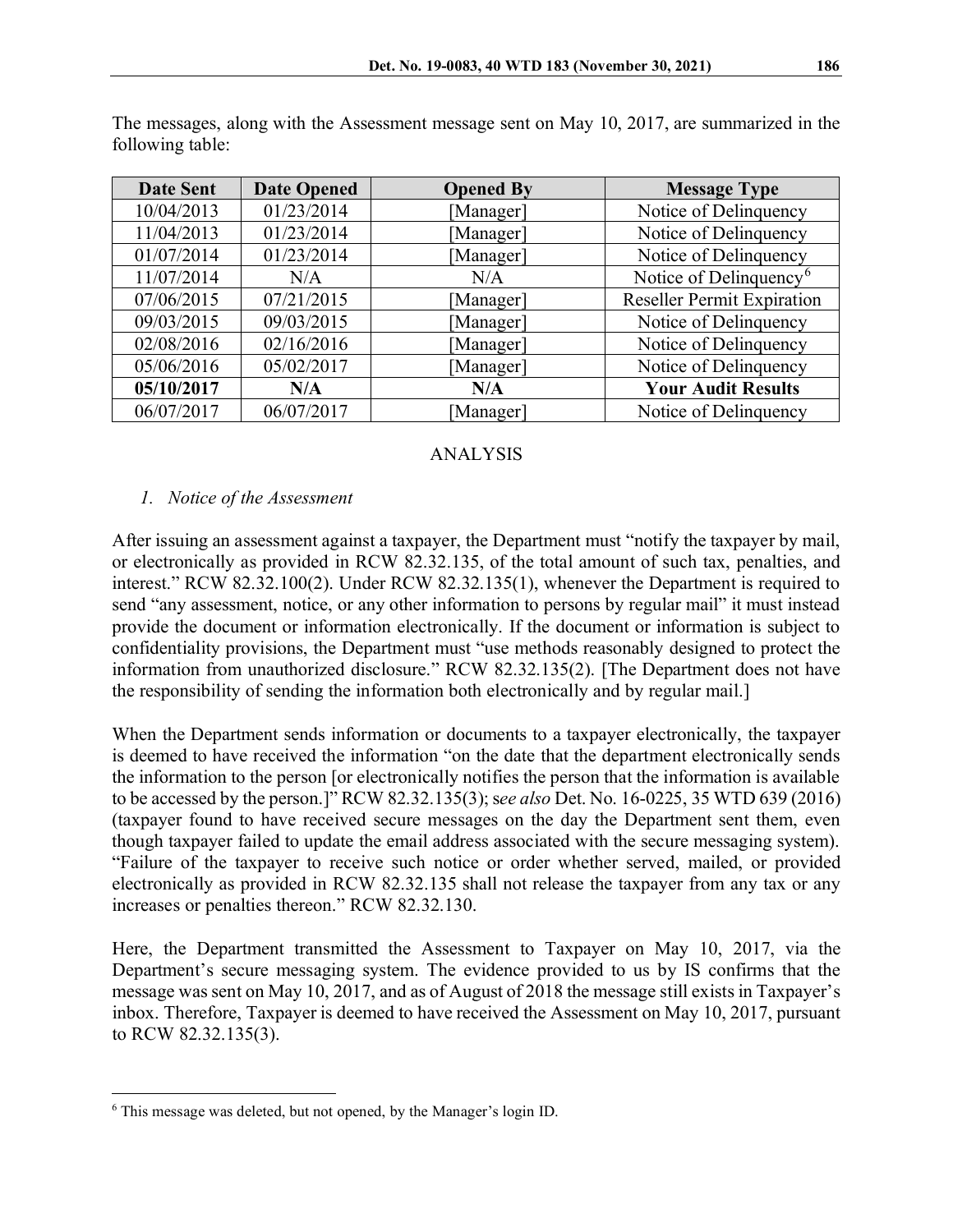| Date Sent  | <b>Date Opened</b> | <b>Opened By</b> | <b>Message Type</b>                |
|------------|--------------------|------------------|------------------------------------|
| 10/04/2013 | 01/23/2014         | [Manager]        | Notice of Delinquency              |
| 11/04/2013 | 01/23/2014         | [Manager]        | Notice of Delinquency              |
| 01/07/2014 | 01/23/2014         | [Manager]        | Notice of Delinquency              |
| 11/07/2014 | N/A                | N/A              | Notice of Delinquency <sup>6</sup> |
| 07/06/2015 | 07/21/2015         | [Manager]        | <b>Reseller Permit Expiration</b>  |
| 09/03/2015 | 09/03/2015         | [Manager]        | Notice of Delinquency              |
| 02/08/2016 | 02/16/2016         | [Manager]        | Notice of Delinquency              |
| 05/06/2016 | 05/02/2017         | [Manager]        | Notice of Delinquency              |
| 05/10/2017 | N/A                | N/A              | <b>Your Audit Results</b>          |
| 06/07/2017 | 06/07/2017         | [Manager]        | Notice of Delinquency              |

The messages, along with the Assessment message sent on May 10, 2017, are summarized in the following table:

# ANALYSIS

### *1. Notice of the Assessment*

After issuing an assessment against a taxpayer, the Department must "notify the taxpayer by mail, or electronically as provided in RCW 82.32.135, of the total amount of such tax, penalties, and interest." RCW 82.32.100(2). Under RCW 82.32.135(1), whenever the Department is required to send "any assessment, notice, or any other information to persons by regular mail" it must instead provide the document or information electronically. If the document or information is subject to confidentiality provisions, the Department must "use methods reasonably designed to protect the information from unauthorized disclosure." RCW 82.32.135(2). [The Department does not have the responsibility of sending the information both electronically and by regular mail.]

When the Department sends information or documents to a taxpayer electronically, the taxpayer is deemed to have received the information "on the date that the department electronically sends the information to the person [or electronically notifies the person that the information is available to be accessed by the person.]" RCW 82.32.135(3); see also Det. No. 16-0225, 35 WTD 639 (2016) (taxpayer found to have received secure messages on the day the Department sent them, even though taxpayer failed to update the email address associated with the secure messaging system). "Failure of the taxpayer to receive such notice or order whether served, mailed, or provided electronically as provided in RCW 82.32.135 shall not release the taxpayer from any tax or any increases or penalties thereon." RCW 82.32.130.

Here, the Department transmitted the Assessment to Taxpayer on May 10, 2017, via the Department's secure messaging system. The evidence provided to us by IS confirms that the message was sent on May 10, 2017, and as of August of 2018 the message still exists in Taxpayer's inbox. Therefore, Taxpayer is deemed to have received the Assessment on May 10, 2017, pursuant to RCW 82.32.135(3).

<span id="page-3-0"></span><sup>6</sup> This message was deleted, but not opened, by the Manager's login ID.